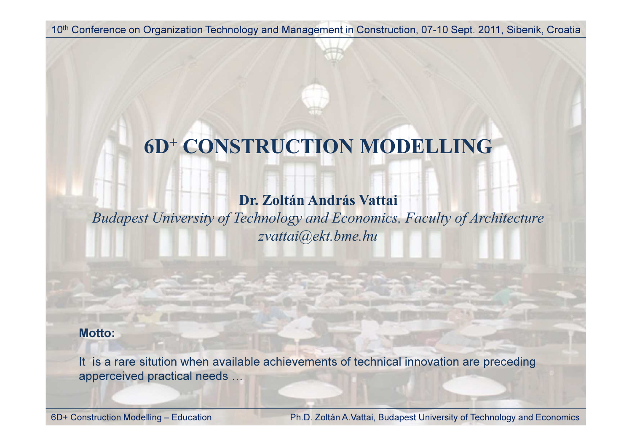# 6D+ CONSTRUCTION MODELLING

### Dr. Zoltán András Vattai

Budapest University of Technology and Economics, Faculty of Architecturezvattai@ekt.bme.hu

#### Motto:

It is a rare sitution when available achievements of technical innovation are preceding apperceived practical needs …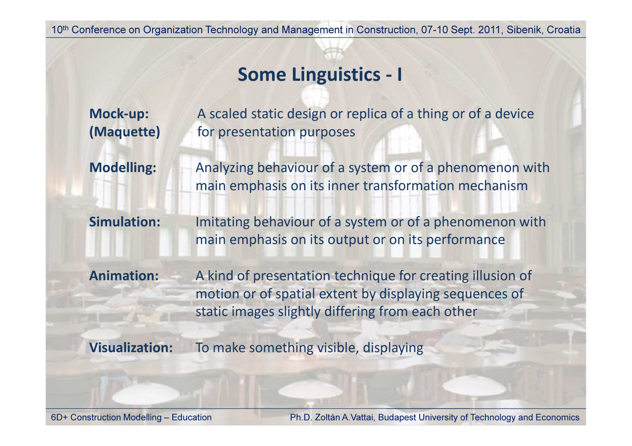## Some Linguistics - I

| Mock-up:<br>(Maquette) | A scaled static design or replica of a thing or of a device<br>for presentation purposes                                                                                |
|------------------------|-------------------------------------------------------------------------------------------------------------------------------------------------------------------------|
| <b>Modelling:</b>      | Analyzing behaviour of a system or of a phenomenon with<br>main emphasis on its inner transformation mechanism                                                          |
| <b>Simulation:</b>     | Imitating behaviour of a system or of a phenomenon with<br>main emphasis on its output or on its performance                                                            |
| <b>Animation:</b>      | A kind of presentation technique for creating illusion of<br>motion or of spatial extent by displaying sequences of<br>static images slightly differing from each other |
| <b>Visualization:</b>  | To make something visible, displaying                                                                                                                                   |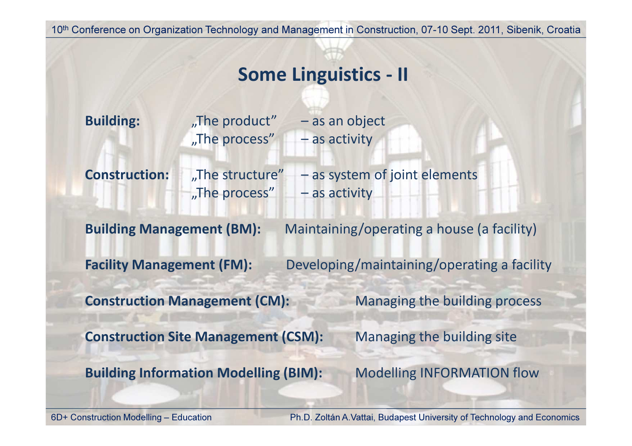## Some Linguistics - II

| <b>Building:</b>                 | "The product"<br>"The process"<br>- as activity     | - as an object                              |
|----------------------------------|-----------------------------------------------------|---------------------------------------------|
| <b>Construction:</b>             | "The structure"<br>"The process"<br>$-$ as activity | - as system of joint elements               |
| <b>Building Management (BM):</b> |                                                     | Maintaining/operating a house (a facility)  |
| <b>Facility Management (FM):</b> |                                                     | Developing/maintaining/operating a facility |
|                                  | <b>Construction Management (CM):</b>                | Managing the building process               |
|                                  | <b>Construction Site Management (CSM):</b>          | Managing the building site                  |
|                                  | <b>Building Information Modelling (BIM):</b>        | <b>Modelling INFORMATION flow</b>           |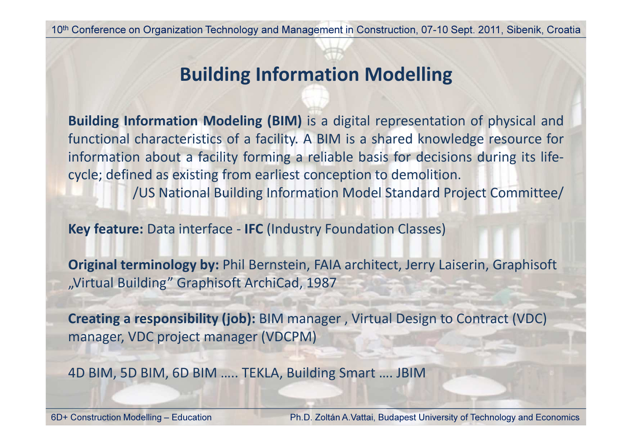# Building Information Modelling

Building Information Modeling (BIM) is <sup>a</sup> digital representation of physical andfunctional characteristics of a facility. A BIM is a shared knowledge resource for<br>information about a facility forming a reliable basis for desisions during its life information about <sup>a</sup> facility forming <sup>a</sup> reliable basis for decisions during its lifecycle; defined as existing from earliest conception to demolition.

/US National Building Information Model Standard Project Committee/

Key feature: Data interface - IFC (Industry Foundation Classes)

Original terminology by: Phil Bernstein, FAIA architect, Jerry Laiserin, Graphisoft"Virtual Building" Graphisoft ArchiCad, 1987

Creating a responsibility (job): BIM manager , Virtual Design to Contract (VDC) manager, VDC project manager (VDCPM)

4D BIM, 5D BIM, 6D BIM ….. TEKLA, Building Smart …. JBIM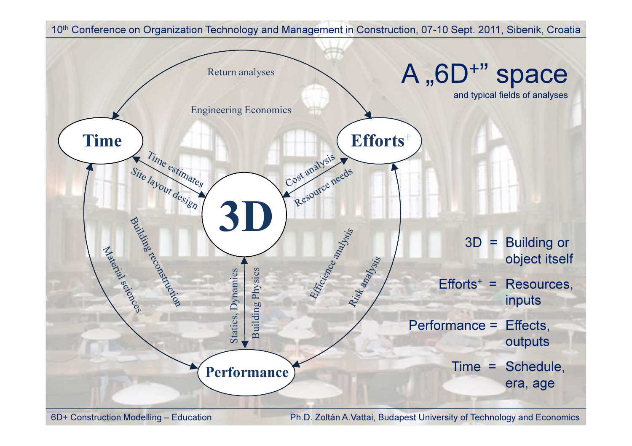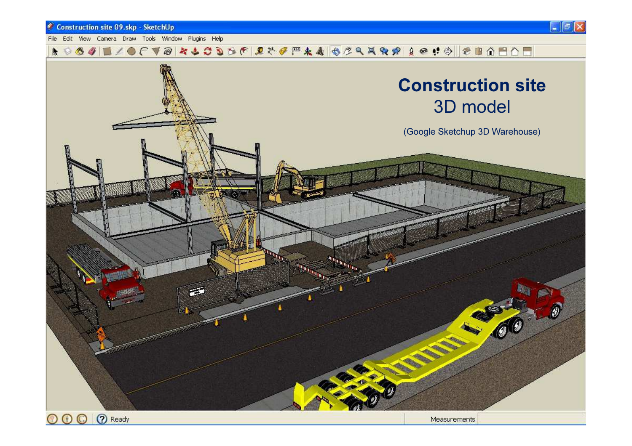#### Construction site 09.skp - SketchUp

File Edit View Camera Draw Tools Window Plugins Help

 $\Box$ el

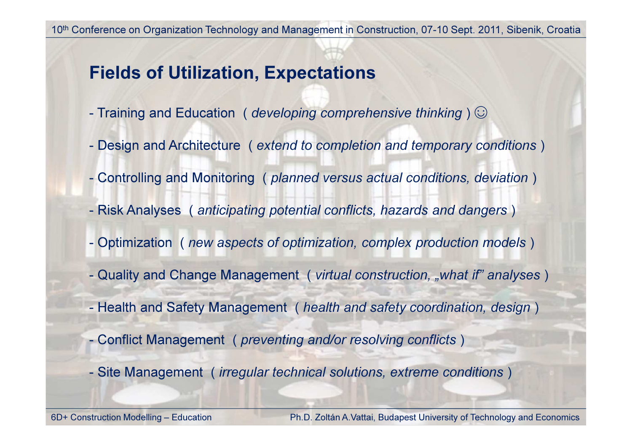## Fields of Utilization, Expectations

- Training and Education ( developing comprehensive thinking )  $\odot$
- Design and Architecture ( extend to completion and temporary conditions )
- Controlling and Monitoring ( planned versus actual conditions, deviation )
- Risk Analyses ( anticipating potential conflicts, hazards and dangers )
- Optimization ( new aspects of optimization, complex production models )
- Quality and Change Management (*virtual construction, "what if" analyses*)
- Health and Safety Management ( health and safety coordination, design )
- Conflict Management ( preventing and/or resolving conflicts )
- Site Management ( irregular technical solutions, extreme conditions )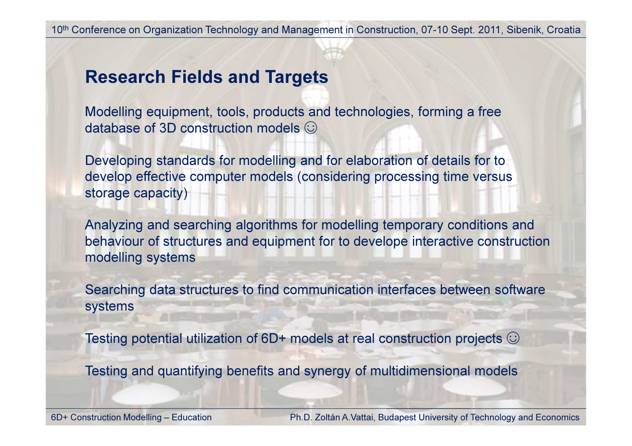### Research Fields and Targets

Modelling equipment, tools, products and technologies, forming a free database of 3D construction models  $\odot$ 

Developing standards for modelling and for elaboration of details for to develop effective computer models (considering processing time versus storage capacity)

Analyzing and searching algorithms for modelling temporary conditions and behaviour of structures and equipment for to develope interactive construction modelling systems

Searching data structures to find communication interfaces between software systems

Testing potential utilization of 6D+ models at real construction projects  $\odot$ 

Testing and quantifying benefits and synergy of multidimensional models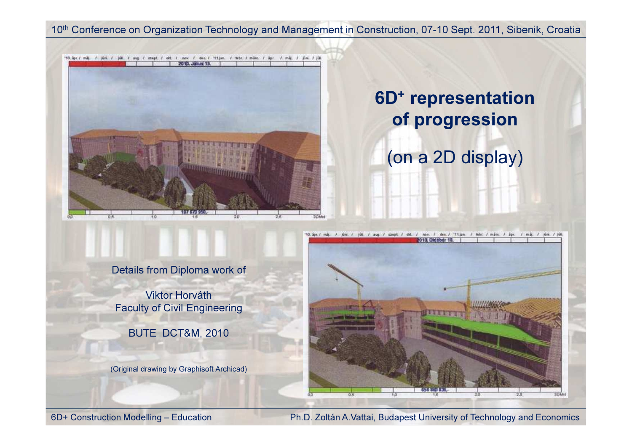

## 6D+ representationof progression

(on a 2D display)



Details from Diploma work of

Viktor HorváthFaculty of Civil Engineering

BUTE DCT&M, 2010

(Original drawing by Graphisoft Archicad)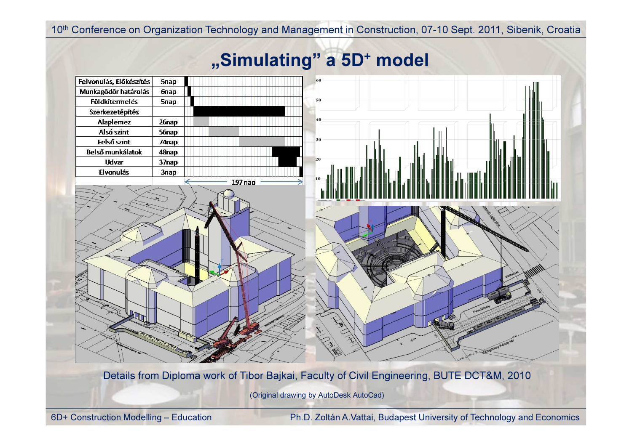# "Simulating" a 5D<sup>+</sup> model



Details from Diploma work of Tibor Bajkai, Faculty of Civil Engineering, BUTE DCT&M, 2010

(Original drawing by AutoDesk AutoCad)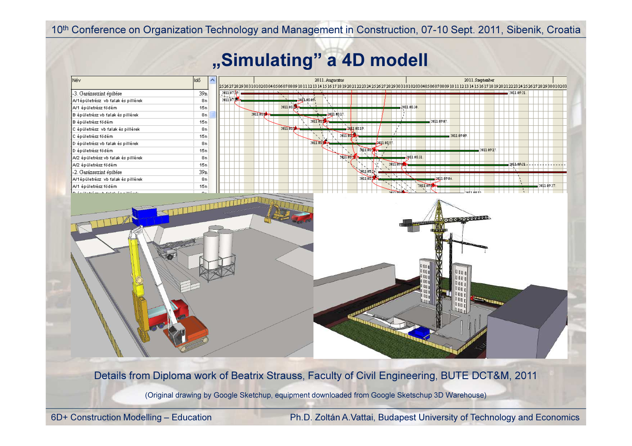# "Simulating" a 4D modell

|                                     | lidő.   |            | 2011. Augusztus<br>2526272829303101020304050607080910111213141516171819202122232425262728293031010203040506070809101112131415161718192021222324252627282930010203 | 2011. Szeptember                            |
|-------------------------------------|---------|------------|-------------------------------------------------------------------------------------------------------------------------------------------------------------------|---------------------------------------------|
| -3. Garázsszint építése             | 39n     | 2011 07 19 |                                                                                                                                                                   | 2011.09.21.                                 |
| A/1épületrész vb falak és pillérek  | 8n      | 201107     | 2011.08.09.                                                                                                                                                       |                                             |
| A/1 épületrész födém                | 15n     |            | $2011$ os $\sqrt{24}$                                                                                                                                             | 2011.0S30.                                  |
| B épületrész vb falak és pillérek   | 8n      |            | $2011050 +$<br>ապրացո                                                                                                                                             |                                             |
| B épületrész födém                  | 15n     |            | 2011 0ST                                                                                                                                                          | 2011 09:05                                  |
| C épületrész vb falak és pillérek   | 8n      |            | 2011 03:10-<br><b>20110319.</b>                                                                                                                                   |                                             |
| C épületrész födém                  | 15n     |            | 2011.03                                                                                                                                                           | $-2011.09.09$ .                             |
| D épületrész vb falak és pillérek   | 8n      |            | $2011.051 +$<br>2011.08.25                                                                                                                                        |                                             |
| D épületrész födém                  | 15n     |            | 2011 08:58                                                                                                                                                        | 2011 09 15                                  |
| A/2 épületrész vb falak és pillérek | 8n      |            | 2011.03                                                                                                                                                           | <u>2011.0831.</u>                           |
| A/2 épületrész födém                | 15n     |            | 2011 09:0                                                                                                                                                         | 2011-09-21                                  |
| -2. Garázsszint építése             | 39n     |            | 2011 os 1 c                                                                                                                                                       |                                             |
| A/1épületrész vb falak és pillérek  | 8n      |            | 2011 031                                                                                                                                                          | 2011 09:06                                  |
| A/1 épületrész födém                | 15n     |            |                                                                                                                                                                   | 2011090<br>2011 09:27.                      |
| المتكسب وكالمتحاف والمتحدث والمتحدث | $\circ$ |            | 20111001                                                                                                                                                          | כור סמור הב                                 |
|                                     |         |            |                                                                                                                                                                   | <b>METER AND DESCRIPTION</b>                |
|                                     |         |            |                                                                                                                                                                   | 0 O O O<br>i bo<br><b>BU</b><br>100<br>0 om |

Details from Diploma work of Beatrix Strauss, Faculty of Civil Engineering, BUTE DCT&M, 2011

(Original drawing by Google Sketchup, equipment downloaded from Google Sketschup 3D Warehouse)